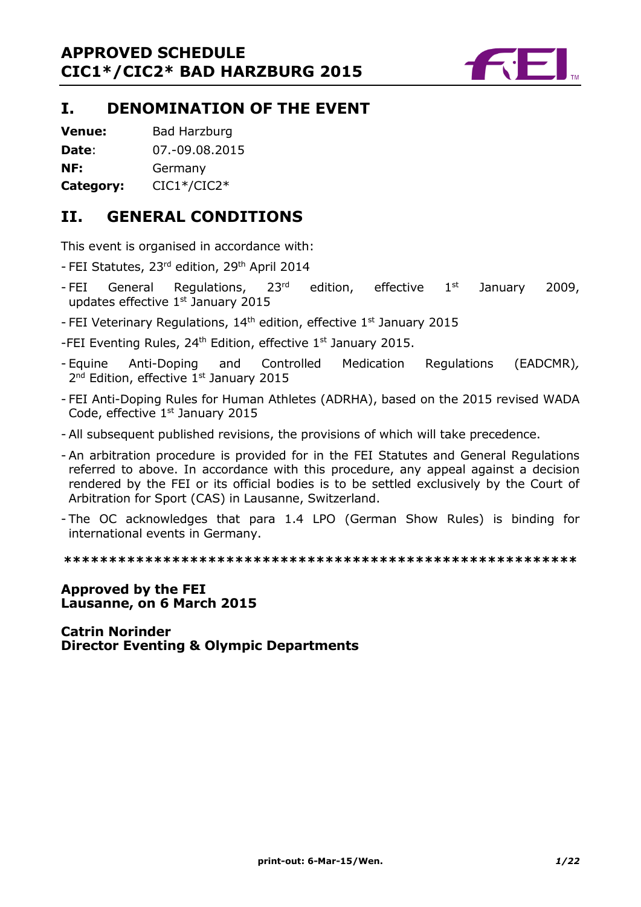

# **I. DENOMINATION OF THE EVENT**

**Venue:** Bad Harzburg

**Date**: 07.-09.08.2015

**NF:** Germany

**Category:** CIC1\*/CIC2\*

# **II. GENERAL CONDITIONS**

This event is organised in accordance with:

- FEI Statutes, 23rd edition, 29<sup>th</sup> April 2014
- FEI General Regulations, 23 $^{rd}$  edition, effective 1st January 2009, updates effective  $1<sup>st</sup>$  January 2015
- FEI Veterinary Regulations,  $14<sup>th</sup>$  edition, effective  $1<sup>st</sup>$  January 2015
- -FEI Eventing Rules, 24<sup>th</sup> Edition, effective 1<sup>st</sup> January 2015.
- Equine Anti-Doping and Controlled Medication Regulations (EADCMR)*,*  2<sup>nd</sup> Edition, effective 1<sup>st</sup> January 2015
- FEI Anti-Doping Rules for Human Athletes (ADRHA), based on the 2015 revised WADA Code, effective 1<sup>st</sup> January 2015
- All subsequent published revisions, the provisions of which will take precedence.
- An arbitration procedure is provided for in the FEI Statutes and General Regulations referred to above. In accordance with this procedure, any appeal against a decision rendered by the FEI or its official bodies is to be settled exclusively by the Court of Arbitration for Sport (CAS) in Lausanne, Switzerland.
- The OC acknowledges that para 1.4 LPO (German Show Rules) is binding for international events in Germany.

**\*\*\*\*\*\*\*\*\*\*\*\*\*\*\*\*\*\*\*\*\*\*\*\*\*\*\*\*\*\*\*\*\*\*\*\*\*\*\*\*\*\*\*\*\*\*\*\*\*\*\*\*\*\*\*\*\***

# **Approved by the FEI Lausanne, on 6 March 2015**

**Catrin Norinder Director Eventing & Olympic Departments**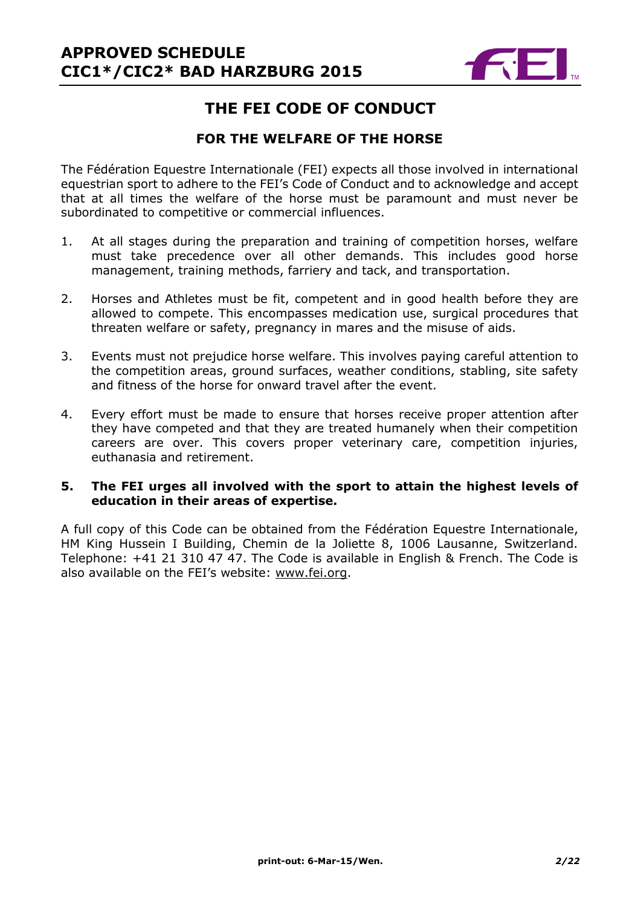

# **THE FEI CODE OF CONDUCT**

# **FOR THE WELFARE OF THE HORSE**

The Fédération Equestre Internationale (FEI) expects all those involved in international equestrian sport to adhere to the FEI's Code of Conduct and to acknowledge and accept that at all times the welfare of the horse must be paramount and must never be subordinated to competitive or commercial influences.

- 1. At all stages during the preparation and training of competition horses, welfare must take precedence over all other demands. This includes good horse management, training methods, farriery and tack, and transportation.
- 2. Horses and Athletes must be fit, competent and in good health before they are allowed to compete. This encompasses medication use, surgical procedures that threaten welfare or safety, pregnancy in mares and the misuse of aids.
- 3. Events must not prejudice horse welfare. This involves paying careful attention to the competition areas, ground surfaces, weather conditions, stabling, site safety and fitness of the horse for onward travel after the event.
- 4. Every effort must be made to ensure that horses receive proper attention after they have competed and that they are treated humanely when their competition careers are over. This covers proper veterinary care, competition injuries, euthanasia and retirement.

### **5. The FEI urges all involved with the sport to attain the highest levels of education in their areas of expertise.**

A full copy of this Code can be obtained from the Fédération Equestre Internationale, HM King Hussein I Building, Chemin de la Joliette 8, 1006 Lausanne, Switzerland. Telephone: +41 21 310 47 47. The Code is available in English & French. The Code is also available on the FEI's website: [www.fei.org.](http://www.fei.org/)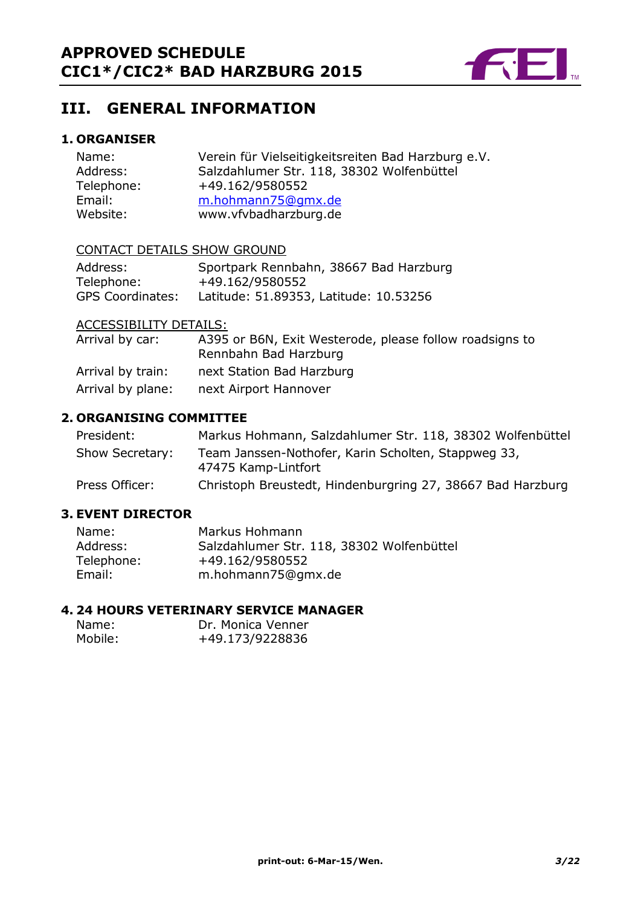

# **III. GENERAL INFORMATION**

# **1. ORGANISER**

| Name:      | Verein für Vielseitigkeitsreiten Bad Harzburg e.V. |
|------------|----------------------------------------------------|
| Address:   | Salzdahlumer Str. 118, 38302 Wolfenbüttel          |
| Telephone: | +49.162/9580552                                    |
| Email:     | m.hohmann75@gmx.de                                 |
| Website:   | www.vfvbadharzburg.de                              |

#### CONTACT DETAILS SHOW GROUND

| Address:                | Sportpark Rennbahn, 38667 Bad Harzburg |
|-------------------------|----------------------------------------|
| Telephone:              | +49.162/9580552                        |
| <b>GPS Coordinates:</b> | Latitude: 51.89353, Latitude: 10.53256 |

### ACCESSIBILITY DETAILS:

| Arrival by car:   | A395 or B6N, Exit Westerode, please follow roadsigns to<br>Rennbahn Bad Harzburg |
|-------------------|----------------------------------------------------------------------------------|
| Arrival by train: | next Station Bad Harzburg                                                        |
| Arrival by plane: | next Airport Hannover                                                            |

#### **2. ORGANISING COMMITTEE**

| President:      | Markus Hohmann, Salzdahlumer Str. 118, 38302 Wolfenbüttel                  |
|-----------------|----------------------------------------------------------------------------|
| Show Secretary: | Team Janssen-Nothofer, Karin Scholten, Stappweg 33,<br>47475 Kamp-Lintfort |
| Press Officer:  | Christoph Breustedt, Hindenburgring 27, 38667 Bad Harzburg                 |

# **3. EVENT DIRECTOR**

| Name:      | Markus Hohmann                            |
|------------|-------------------------------------------|
| Address:   | Salzdahlumer Str. 118, 38302 Wolfenbüttel |
| Telephone: | +49.162/9580552                           |
| Email:     | m.hohmann75@gmx.de                        |

### **4. 24 HOURS VETERINARY SERVICE MANAGER**

| Name:   | Dr. Monica Venner |
|---------|-------------------|
| Mobile: | +49.173/9228836   |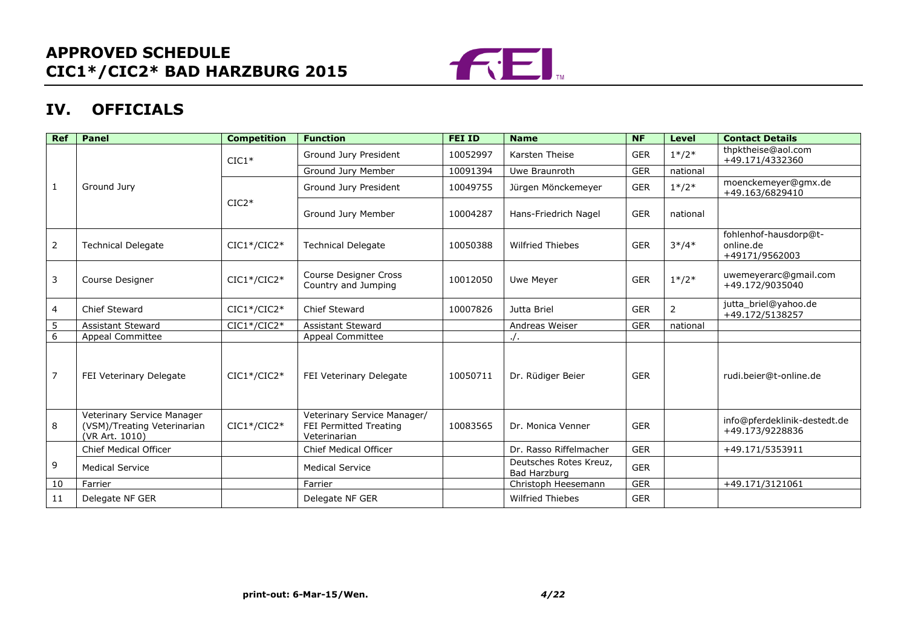

# **IV. OFFICIALS**

| <b>Ref</b>     | <b>Panel</b>                                                                | <b>Competition</b> | <b>Function</b>                                                       | <b>FEI ID</b> | <b>Name</b>                            | <b>NF</b>  | <b>Level</b> | <b>Contact Details</b>                               |
|----------------|-----------------------------------------------------------------------------|--------------------|-----------------------------------------------------------------------|---------------|----------------------------------------|------------|--------------|------------------------------------------------------|
|                |                                                                             | $CIC1*$            | Ground Jury President                                                 | 10052997      | Karsten Theise                         | <b>GER</b> | $1*/2*$      | thpktheise@aol.com<br>+49.171/4332360                |
|                |                                                                             |                    | Ground Jury Member                                                    | 10091394      | Uwe Braunroth                          | <b>GER</b> | national     |                                                      |
| 1              | Ground Jury                                                                 |                    | Ground Jury President                                                 | 10049755      | Jürgen Mönckemeyer                     | <b>GER</b> | $1*/2*$      | moenckemeyer@gmx.de<br>+49.163/6829410               |
|                |                                                                             | $CIC2*$            | Ground Jury Member                                                    | 10004287      | Hans-Friedrich Nagel                   | <b>GER</b> | national     |                                                      |
| $\overline{2}$ | <b>Technical Delegate</b>                                                   | $CIC1*/CIC2*$      | <b>Technical Delegate</b>                                             | 10050388      | <b>Wilfried Thiebes</b>                | <b>GER</b> | $3*/4*$      | fohlenhof-hausdorp@t-<br>online.de<br>+49171/9562003 |
| 3              | Course Designer                                                             | $CIC1*/CIC2*$      | Course Designer Cross<br>Country and Jumping                          | 10012050      | Uwe Meyer                              | <b>GER</b> | $1*/2*$      | uwemeyerarc@gmail.com<br>+49.172/9035040             |
| $\overline{4}$ | Chief Steward                                                               | $CIC1*/CIC2*$      | Chief Steward                                                         | 10007826      | Jutta Briel                            | <b>GER</b> | 2            | jutta_briel@yahoo.de<br>+49.172/5138257              |
| 5              | <b>Assistant Steward</b>                                                    | $CIC1*/CIC2*$      | <b>Assistant Steward</b>                                              |               | Andreas Weiser                         | <b>GER</b> | national     |                                                      |
| 6              | <b>Appeal Committee</b>                                                     |                    | <b>Appeal Committee</b>                                               |               |                                        |            |              |                                                      |
| $\overline{7}$ | <b>FEI Veterinary Delegate</b>                                              | $CIC1*/CIC2*$      | FEI Veterinary Delegate                                               | 10050711      | Dr. Rüdiger Beier                      | <b>GER</b> |              | rudi.beier@t-online.de                               |
| 8              | Veterinary Service Manager<br>(VSM)/Treating Veterinarian<br>(VR Art. 1010) | $CIC1*/CIC2*$      | Veterinary Service Manager/<br>FEI Permitted Treating<br>Veterinarian | 10083565      | Dr. Monica Venner                      | <b>GER</b> |              | info@pferdeklinik-destedt.de<br>+49.173/9228836      |
|                | Chief Medical Officer                                                       |                    | <b>Chief Medical Officer</b>                                          |               | Dr. Rasso Riffelmacher                 | <b>GER</b> |              | +49.171/5353911                                      |
| 9              | <b>Medical Service</b>                                                      |                    | <b>Medical Service</b>                                                |               | Deutsches Rotes Kreuz,<br>Bad Harzburg | <b>GER</b> |              |                                                      |
| 10             | Farrier                                                                     |                    | Farrier                                                               |               | Christoph Heesemann                    | <b>GER</b> |              | +49.171/3121061                                      |
| 11             | Delegate NF GER                                                             |                    | Delegate NF GER                                                       |               | <b>Wilfried Thiebes</b>                | <b>GER</b> |              |                                                      |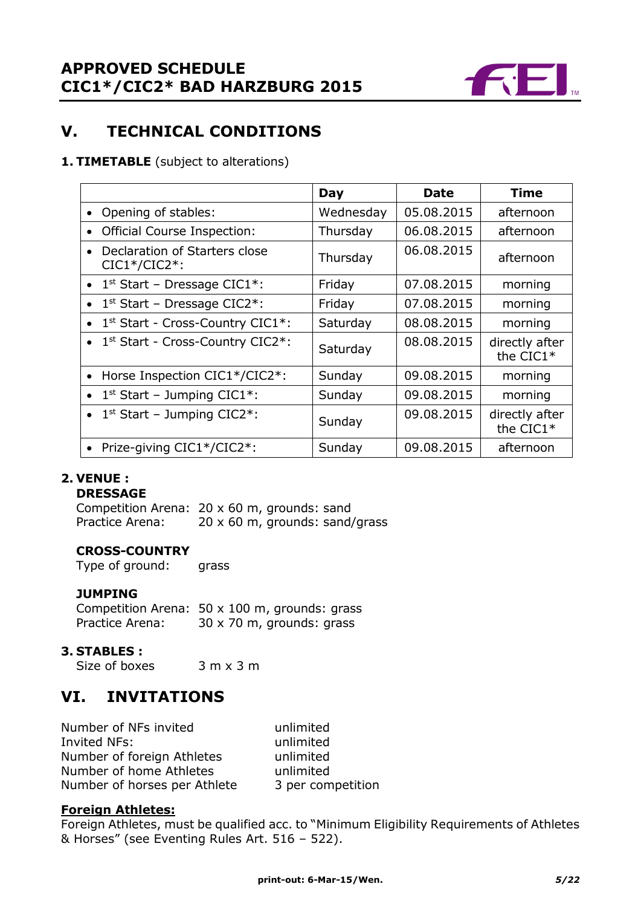

# **V. TECHNICAL CONDITIONS**

### **1. TIMETABLE** (subject to alterations)

|           |                                                  | Day       | Date       | <b>Time</b>                 |
|-----------|--------------------------------------------------|-----------|------------|-----------------------------|
| $\bullet$ | Opening of stables:                              | Wednesday | 05.08.2015 | afternoon                   |
| $\bullet$ | <b>Official Course Inspection:</b>               | Thursday  | 06.08.2015 | afternoon                   |
|           | Declaration of Starters close<br>$CIC1*/CIC2*$ : | Thursday  | 06.08.2015 | afternoon                   |
|           | • $1st$ Start – Dressage CIC1*:                  | Friday    | 07.08.2015 | morning                     |
| $\bullet$ | $1st$ Start – Dressage CIC2*:                    | Friday    | 07.08.2015 | morning                     |
|           | • 1st Start - Cross-Country CIC1*:               | Saturday  | 08.08.2015 | morning                     |
|           | • $1st Start - Cross-Country CIC2*:$             | Saturday  | 08.08.2015 | directly after<br>the CIC1* |
| $\bullet$ | Horse Inspection CIC1*/CIC2*:                    | Sunday    | 09.08.2015 | morning                     |
|           | • $1^{st}$ Start – Jumping CIC1*:                | Sunday    | 09.08.2015 | morning                     |
|           | • $1^{st}$ Start – Jumping CIC2*:                | Sunday    | 09.08.2015 | directly after<br>the CIC1* |
|           | Prize-giving CIC1*/CIC2*:                        | Sunday    | 09.08.2015 | afternoon                   |

# **2. VENUE :**

#### **DRESSAGE**

Competition Arena: 20 x 60 m, grounds: sand Practice Arena: 20 x 60 m, grounds: sand/grass

#### **CROSS-COUNTRY**

Type of ground: grass

## **JUMPING**

Competition Arena: 50 x 100 m, grounds: grass Practice Arena: 30 x 70 m, grounds: grass

#### **3. STABLES :**

Size of boxes 3 m x 3 m

# **VI. INVITATIONS**

Number of NFs invited unlimited Invited NFs: unlimited Number of foreign Athletes unlimited Number of home Athletes unlimited Number of horses per Athlete 3 per competition

#### **Foreign Athletes:**

Foreign Athletes, must be qualified acc. to "Minimum Eligibility Requirements of Athletes & Horses" (see Eventing Rules Art. 516 – 522).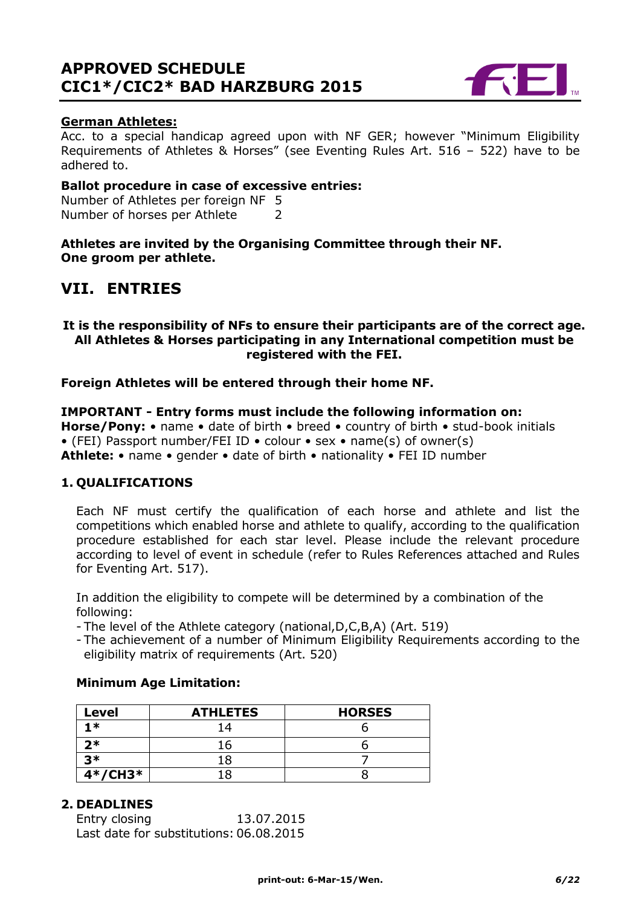

### **German Athletes:**

Acc. to a special handicap agreed upon with NF GER; however "Minimum Eligibility Requirements of Athletes & Horses" (see Eventing Rules Art. 516 – 522) have to be adhered to.

#### **Ballot procedure in case of excessive entries:**

Number of Athletes per foreign NF 5 Number of horses per Athlete 2

**Athletes are invited by the Organising Committee through their NF. One groom per athlete.**

# **VII. ENTRIES**

#### **It is the responsibility of NFs to ensure their participants are of the correct age. All Athletes & Horses participating in any International competition must be registered with the FEI.**

**Foreign Athletes will be entered through their home NF.**

**IMPORTANT - Entry forms must include the following information on: Horse/Pony:** • name • date of birth • breed • country of birth • stud-book initials • (FEI) Passport number/FEI ID • colour • sex • name(s) of owner(s) **Athlete:** • name • gender • date of birth • nationality • FEI ID number

#### **1. QUALIFICATIONS**

Each NF must certify the qualification of each horse and athlete and list the competitions which enabled horse and athlete to qualify, according to the qualification procedure established for each star level. Please include the relevant procedure according to level of event in schedule (refer to Rules References attached and Rules for Eventing Art. 517).

In addition the eligibility to compete will be determined by a combination of the following:

- The level of the Athlete category (national,D,C,B,A) (Art. 519)
- The achievement of a number of Minimum Eligibility Requirements according to the eligibility matrix of requirements (Art. 520)

#### **Minimum Age Limitation:**

| Level     | <b>ATHLETES</b> | <b>HORSES</b> |
|-----------|-----------------|---------------|
| 1 *       |                 |               |
| 2*        | ้ 6             |               |
| マ*        |                 |               |
| $4*/CH3*$ |                 |               |

## **2. DEADLINES**

Entry closing 13.07.2015 Last date for substitutions: 06.08.2015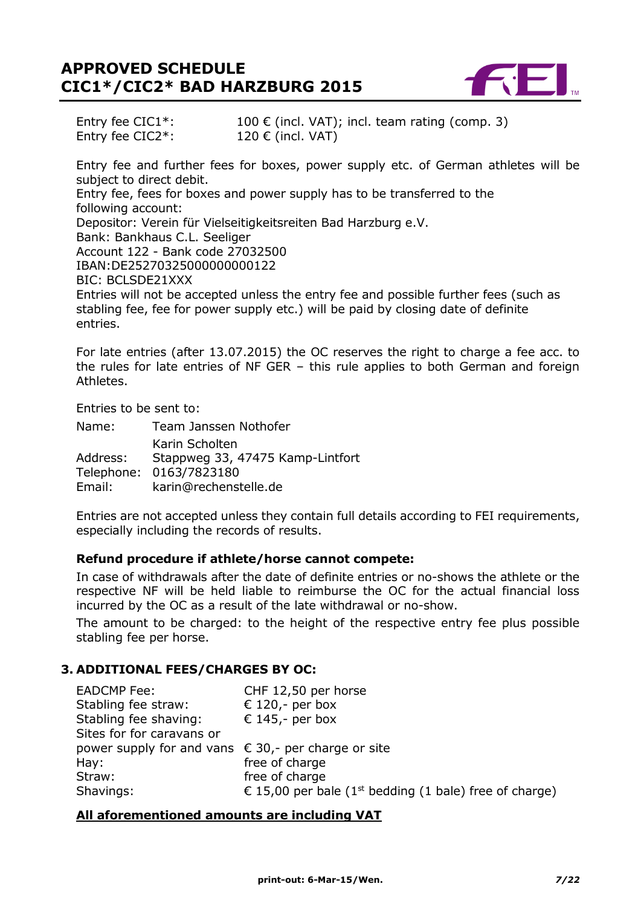

Entry fee CIC1<sup>\*</sup>: 100 € (incl. VAT); incl. team rating (comp. 3)<br>Entry fee CIC2<sup>\*</sup>: 120 € (incl. VAT) Entry fee  $CIC2^*$ :

Entry fee and further fees for boxes, power supply etc. of German athletes will be subject to direct debit. Entry fee, fees for boxes and power supply has to be transferred to the following account: Depositor: Verein für Vielseitigkeitsreiten Bad Harzburg e.V. Bank: Bankhaus C.L. Seeliger Account 122 - Bank code 27032500 IBAN:DE25270325000000000122 BIC: BCLSDE21XXX Entries will not be accepted unless the entry fee and possible further fees (such as stabling fee, fee for power supply etc.) will be paid by closing date of definite entries.

For late entries (after 13.07.2015) the OC reserves the right to charge a fee acc. to the rules for late entries of NF GER – this rule applies to both German and foreign Athletes.

Entries to be sent to:

| Name:    | Team Janssen Nothofer            |
|----------|----------------------------------|
|          | Karin Scholten                   |
| Address: | Stappweg 33, 47475 Kamp-Lintfort |
|          | Telephone: 0163/7823180          |
| Email:   | karin@rechenstelle.de            |

Entries are not accepted unless they contain full details according to FEI requirements, especially including the records of results.

#### **Refund procedure if athlete/horse cannot compete:**

In case of withdrawals after the date of definite entries or no-shows the athlete or the respective NF will be held liable to reimburse the OC for the actual financial loss incurred by the OC as a result of the late withdrawal or no-show.

The amount to be charged: to the height of the respective entry fee plus possible stabling fee per horse.

### **3. ADDITIONAL FEES/CHARGES BY OC:**

| <b>EADCMP Fee:</b>                                    | CHF 12,50 per horse                                                |
|-------------------------------------------------------|--------------------------------------------------------------------|
| Stabling fee straw:                                   | € 120,- per box                                                    |
| Stabling fee shaving:                                 | € 145,- per box                                                    |
| Sites for for caravans or                             |                                                                    |
| power supply for and vans $€ 30$ , per charge or site |                                                                    |
| Hay:                                                  | free of charge                                                     |
| Straw:                                                | free of charge                                                     |
| Shavings:                                             | € 15,00 per bale (1 <sup>st</sup> bedding (1 bale) free of charge) |

#### **All aforementioned amounts are including VAT**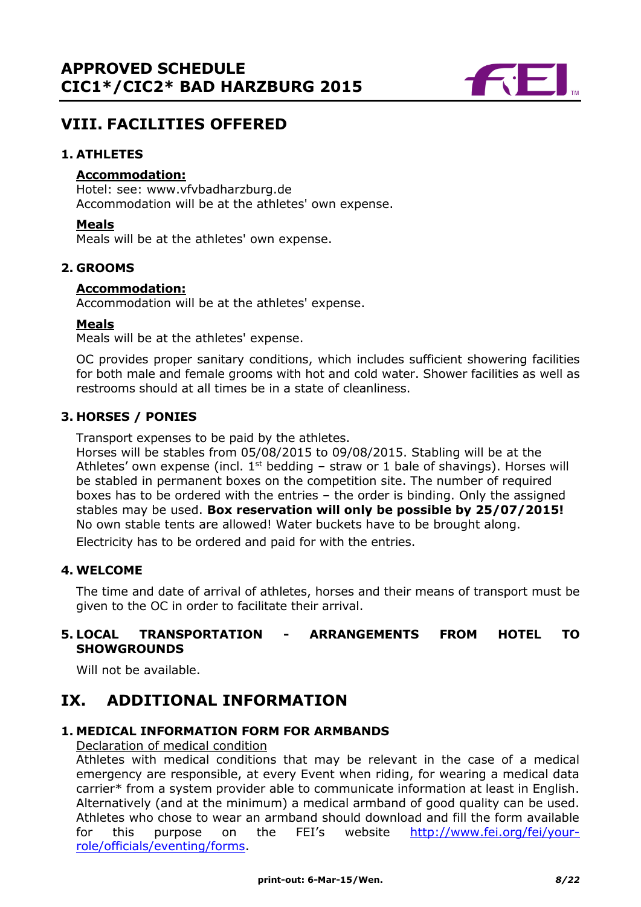

# **VIII. FACILITIES OFFERED**

### **1. ATHLETES**

### **Accommodation:**

Hotel: see: www.vfvbadharzburg.de Accommodation will be at the athletes' own expense.

#### **Meals**

Meals will be at the athletes' own expense.

#### **2. GROOMS**

#### **Accommodation:**

Accommodation will be at the athletes' expense.

#### **Meals**

Meals will be at the athletes' expense.

OC provides proper sanitary conditions, which includes sufficient showering facilities for both male and female grooms with hot and cold water. Shower facilities as well as restrooms should at all times be in a state of cleanliness.

### **3. HORSES / PONIES**

Transport expenses to be paid by the athletes.

Horses will be stables from 05/08/2015 to 09/08/2015. Stabling will be at the Athletes' own expense (incl.  $1<sup>st</sup>$  bedding – straw or 1 bale of shavings). Horses will be stabled in permanent boxes on the competition site. The number of required boxes has to be ordered with the entries – the order is binding. Only the assigned stables may be used. **Box reservation will only be possible by 25/07/2015!** No own stable tents are allowed! Water buckets have to be brought along.

Electricity has to be ordered and paid for with the entries.

#### **4. WELCOME**

The time and date of arrival of athletes, horses and their means of transport must be given to the OC in order to facilitate their arrival.

# **5. LOCAL TRANSPORTATION - ARRANGEMENTS FROM HOTEL TO SHOWGROUNDS**

Will not be available.

# **IX. ADDITIONAL INFORMATION**

#### **1. MEDICAL INFORMATION FORM FOR ARMBANDS**

Declaration of medical condition

Athletes with medical conditions that may be relevant in the case of a medical emergency are responsible, at every Event when riding, for wearing a medical data carrier\* from a system provider able to communicate information at least in English. Alternatively (and at the minimum) a medical armband of good quality can be used. Athletes who chose to wear an armband should download and fill the form available for this purpose on the FEI's website [http://www.fei.org/fei/your](http://www.fei.org/fei/your-role/officials/eventing/forms)[role/officials/eventing/forms.](http://www.fei.org/fei/your-role/officials/eventing/forms)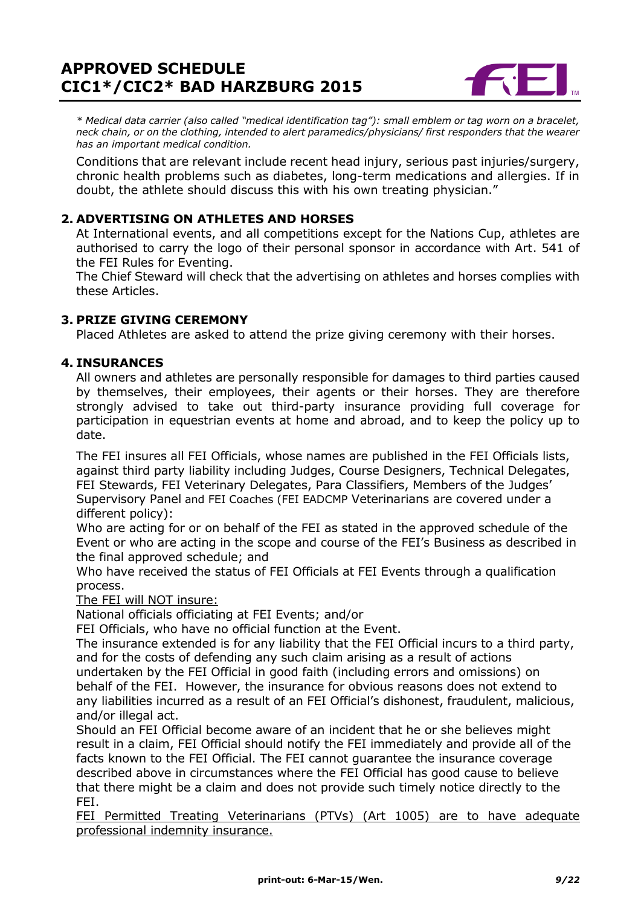

*\* Medical data carrier (also called "medical identification tag"): small emblem or tag worn on a bracelet, neck chain, or on the clothing, intended to alert paramedics/physicians/ first responders that the wearer has an important medical condition.*

Conditions that are relevant include recent head injury, serious past injuries/surgery, chronic health problems such as diabetes, long-term medications and allergies. If in doubt, the athlete should discuss this with his own treating physician."

# **2. ADVERTISING ON ATHLETES AND HORSES**

At International events, and all competitions except for the Nations Cup, athletes are authorised to carry the logo of their personal sponsor in accordance with Art. 541 of the FEI Rules for Eventing.

The Chief Steward will check that the advertising on athletes and horses complies with these Articles.

## **3. PRIZE GIVING CEREMONY**

Placed Athletes are asked to attend the prize giving ceremony with their horses.

### **4. INSURANCES**

All owners and athletes are personally responsible for damages to third parties caused by themselves, their employees, their agents or their horses. They are therefore strongly advised to take out third-party insurance providing full coverage for participation in equestrian events at home and abroad, and to keep the policy up to date.

The FEI insures all FEI Officials, whose names are published in the FEI Officials lists, against third party liability including Judges, Course Designers, Technical Delegates, FEI Stewards, FEI Veterinary Delegates, Para Classifiers, Members of the Judges' Supervisory Panel and FEI Coaches (FEI EADCMP Veterinarians are covered under a different policy):

Who are acting for or on behalf of the FEI as stated in the approved schedule of the Event or who are acting in the scope and course of the FEI's Business as described in the final approved schedule; and

Who have received the status of FEI Officials at FEI Events through a qualification process.

The FEI will NOT insure:

National officials officiating at FEI Events; and/or

FEI Officials, who have no official function at the Event.

The insurance extended is for any liability that the FEI Official incurs to a third party, and for the costs of defending any such claim arising as a result of actions

undertaken by the FEI Official in good faith (including errors and omissions) on behalf of the FEI. However, the insurance for obvious reasons does not extend to any liabilities incurred as a result of an FEI Official's dishonest, fraudulent, malicious, and/or illegal act.

Should an FEI Official become aware of an incident that he or she believes might result in a claim, FEI Official should notify the FEI immediately and provide all of the facts known to the FEI Official. The FEI cannot guarantee the insurance coverage described above in circumstances where the FEI Official has good cause to believe that there might be a claim and does not provide such timely notice directly to the FEI.

FEI Permitted Treating Veterinarians (PTVs) (Art 1005) are to have adequate professional indemnity insurance.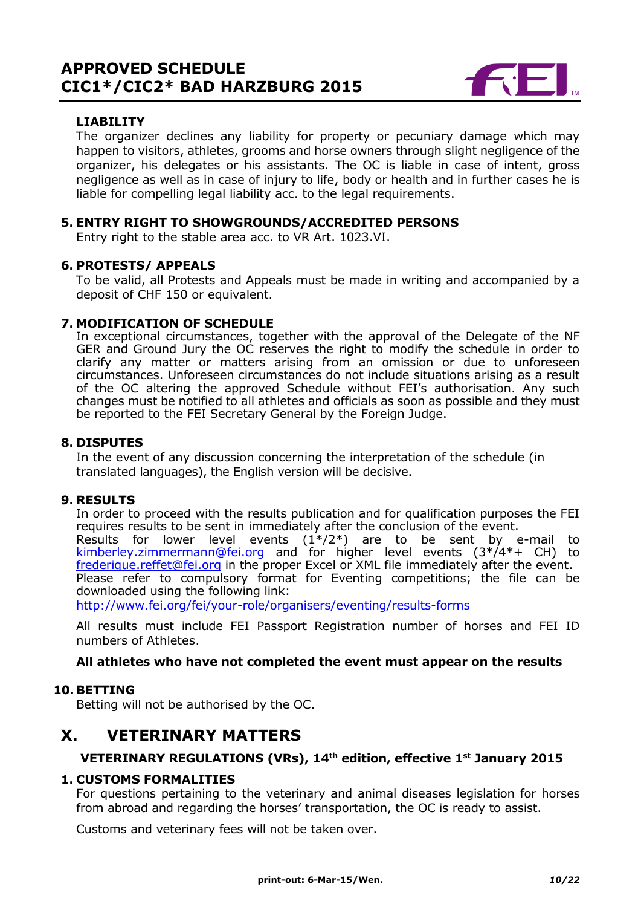

# **LIABILITY**

The organizer declines any liability for property or pecuniary damage which may happen to visitors, athletes, grooms and horse owners through slight negligence of the organizer, his delegates or his assistants. The OC is liable in case of intent, gross negligence as well as in case of injury to life, body or health and in further cases he is liable for compelling legal liability acc. to the legal requirements.

### **5. ENTRY RIGHT TO SHOWGROUNDS/ACCREDITED PERSONS**

Entry right to the stable area acc. to VR Art. 1023.VI.

### **6. PROTESTS/ APPEALS**

To be valid, all Protests and Appeals must be made in writing and accompanied by a deposit of CHF 150 or equivalent.

### **7. MODIFICATION OF SCHEDULE**

In exceptional circumstances, together with the approval of the Delegate of the NF GER and Ground Jury the OC reserves the right to modify the schedule in order to clarify any matter or matters arising from an omission or due to unforeseen circumstances. Unforeseen circumstances do not include situations arising as a result of the OC altering the approved Schedule without FEI's authorisation. Any such changes must be notified to all athletes and officials as soon as possible and they must be reported to the FEI Secretary General by the Foreign Judge.

### **8. DISPUTES**

In the event of any discussion concerning the interpretation of the schedule (in translated languages), the English version will be decisive.

#### **9. RESULTS**

In order to proceed with the results publication and for qualification purposes the FEI requires results to be sent in immediately after the conclusion of the event.

Results for lower level events  $(1^*/2^*)$  are to be sent by e-mail to kimberley.zimmermann@fei.org and for higher level events (3\*/4\*+ CH) to [frederique.reffet@fei.org](mailto:frederique.reffet@fei.org) in the proper Excel or XML file immediately after the event. Please refer to compulsory format for Eventing competitions; the file can be downloaded using the following link:

<http://www.fei.org/fei/your-role/organisers/eventing/results-forms>

All results must include FEI Passport Registration number of horses and FEI ID numbers of Athletes.

#### **All athletes who have not completed the event must appear on the results**

#### **10. BETTING**

Betting will not be authorised by the OC.

# **X. VETERINARY MATTERS**

#### **VETERINARY REGULATIONS (VRs), 14th edition, effective 1st January 2015**

#### **1. CUSTOMS FORMALITIES**

For questions pertaining to the veterinary and animal diseases legislation for horses from abroad and regarding the horses' transportation, the OC is ready to assist.

Customs and veterinary fees will not be taken over.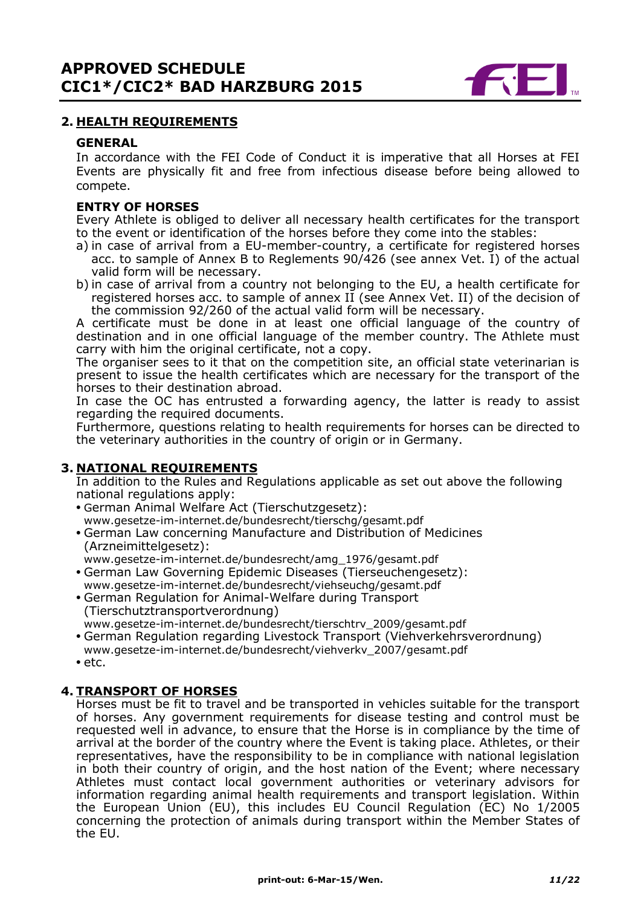

### **2. HEALTH REQUIREMENTS**

#### **GENERAL**

In accordance with the FEI Code of Conduct it is imperative that all Horses at FEI Events are physically fit and free from infectious disease before being allowed to compete.

#### **ENTRY OF HORSES**

Every Athlete is obliged to deliver all necessary health certificates for the transport to the event or identification of the horses before they come into the stables:

- a) in case of arrival from a EU-member-country, a certificate for registered horses acc. to sample of Annex B to Reglements  $90/426$  (see annex Vet. I) of the actual valid form will be necessary.
- b) in case of arrival from a country not belonging to the EU, a health certificate for registered horses acc. to sample of annex II (see Annex Vet. II) of the decision of the commission 92/260 of the actual valid form will be necessary.

A certificate must be done in at least one official language of the country of destination and in one official language of the member country. The Athlete must carry with him the original certificate, not a copy.

The organiser sees to it that on the competition site, an official state veterinarian is present to issue the health certificates which are necessary for the transport of the horses to their destination abroad.

In case the OC has entrusted a forwarding agency, the latter is ready to assist regarding the required documents.

Furthermore, questions relating to health requirements for horses can be directed to the veterinary authorities in the country of origin or in Germany.

#### **3. NATIONAL REQUIREMENTS**

In addition to the Rules and Regulations applicable as set out above the following national regulations apply:

- **•** German Animal Welfare Act (Tierschutzgesetz): www.gesetze-im-internet.de/bundesrecht/tierschg/gesamt.pdf
- **•** German Law concerning Manufacture and Distribution of Medicines (Arzneimittelgesetz):
- www.gesetze-im-internet.de/bundesrecht/amg\_1976/gesamt.pdf
- **•** German Law Governing Epidemic Diseases (Tierseuchengesetz): www.gesetze-im-internet.de/bundesrecht/viehseuchg/gesamt.pdf
- **•** German Regulation for Animal-Welfare during Transport (Tierschutztransportverordnung)
- www.gesetze-im-internet.de/bundesrecht/tierschtrv\_2009/gesamt.pdf
- **•** German Regulation regarding Livestock Transport (Viehverkehrsverordnung) www.gesetze-im-internet.de/bundesrecht/viehverkv\_2007/gesamt.pdf
- **•** etc.

#### **4. TRANSPORT OF HORSES**

Horses must be fit to travel and be transported in vehicles suitable for the transport of horses. Any government requirements for disease testing and control must be requested well in advance, to ensure that the Horse is in compliance by the time of arrival at the border of the country where the Event is taking place. Athletes, or their representatives, have the responsibility to be in compliance with national legislation in both their country of origin, and the host nation of the Event; where necessary Athletes must contact local government authorities or veterinary advisors for information regarding animal health requirements and transport legislation. Within the European Union (EU), this includes EU Council Regulation (EC) No 1/2005 concerning the protection of animals during transport within the Member States of the EU.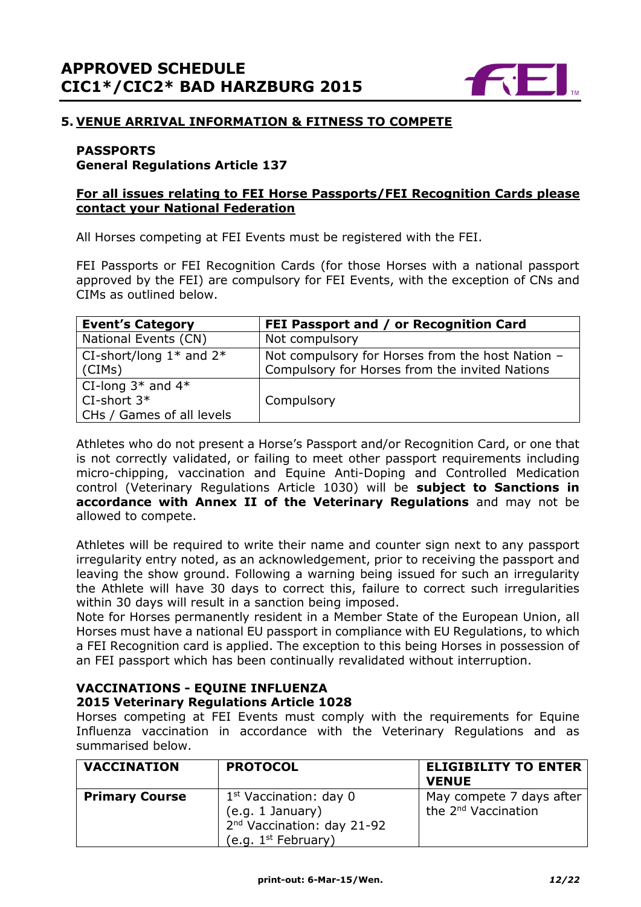

# **5. VENUE ARRIVAL INFORMATION & FITNESS TO COMPETE**

# **PASSPORTS**

## **General Regulations Article 137**

### **For all issues relating to FEI Horse Passports/FEI Recognition Cards please contact your National Federation**

All Horses competing at FEI Events must be registered with the FEI.

FEI Passports or FEI Recognition Cards (for those Horses with a national passport approved by the FEI) are compulsory for FEI Events, with the exception of CNs and CIMs as outlined below.

| <b>Event's Category</b>                                             | FEI Passport and / or Recognition Card                                                             |
|---------------------------------------------------------------------|----------------------------------------------------------------------------------------------------|
| National Events (CN)                                                | Not compulsory                                                                                     |
| CI-short/long $1*$ and $2*$<br>(CIMS)                               | Not compulsory for Horses from the host Nation -<br>Compulsory for Horses from the invited Nations |
| CI-long $3*$ and $4*$<br>$CI-short 3*$<br>CHs / Games of all levels | Compulsory                                                                                         |

Athletes who do not present a Horse's Passport and/or Recognition Card, or one that is not correctly validated, or failing to meet other passport requirements including micro-chipping, vaccination and Equine Anti-Doping and Controlled Medication control (Veterinary Regulations Article 1030) will be **subject to Sanctions in accordance with Annex II of the Veterinary Regulations** and may not be allowed to compete.

Athletes will be required to write their name and counter sign next to any passport irregularity entry noted, as an acknowledgement, prior to receiving the passport and leaving the show ground. Following a warning being issued for such an irregularity the Athlete will have 30 days to correct this, failure to correct such irregularities within 30 days will result in a sanction being imposed.

Note for Horses permanently resident in a Member State of the European Union, all Horses must have a national EU passport in compliance with EU Regulations, to which a FEI Recognition card is applied. The exception to this being Horses in possession of an FEI passport which has been continually revalidated without interruption.

### **VACCINATIONS - EQUINE INFLUENZA 2015 Veterinary Regulations Article 1028**

Horses competing at FEI Events must comply with the requirements for Equine Influenza vaccination in accordance with the Veterinary Regulations and as summarised below.

| <b>VACCINATION</b>    | <b>PROTOCOL</b>                                                                                                    | <b>ELIGIBILITY TO ENTER</b><br><b>VENUE</b>                 |
|-----------------------|--------------------------------------------------------------------------------------------------------------------|-------------------------------------------------------------|
| <b>Primary Course</b> | $1st$ Vaccination: day 0<br>(e.g. 1 January)<br>2 <sup>nd</sup> Vaccination: day 21-92<br>(e.g. $1^{st}$ February) | May compete 7 days after<br>the 2 <sup>nd</sup> Vaccination |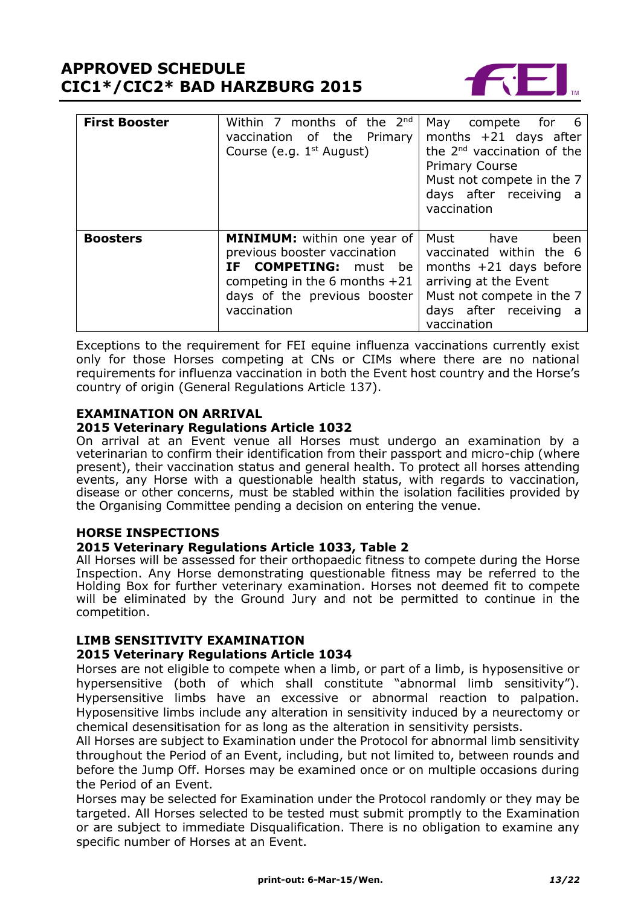

| <b>First Booster</b> | Within 7 months of the $2^{nd}$<br>vaccination of the Primary<br>Course (e.g. 1 <sup>st</sup> August)                                                                         | May compete for 6<br>months $+21$ days after<br>the 2 <sup>nd</sup> vaccination of the<br><b>Primary Course</b><br>Must not compete in the 7<br>days after receiving<br>a a<br>vaccination |
|----------------------|-------------------------------------------------------------------------------------------------------------------------------------------------------------------------------|--------------------------------------------------------------------------------------------------------------------------------------------------------------------------------------------|
| <b>Boosters</b>      | <b>MINIMUM:</b> within one year of<br>previous booster vaccination<br>IF COMPETING: must be<br>competing in the 6 months $+21$<br>days of the previous booster<br>vaccination | Must<br>have<br>been<br>vaccinated within the 6<br>months $+21$ days before<br>arriving at the Event<br>Must not compete in the 7<br>days after receiving<br>- a<br>vaccination            |

Exceptions to the requirement for FEI equine influenza vaccinations currently exist only for those Horses competing at CNs or CIMs where there are no national requirements for influenza vaccination in both the Event host country and the Horse's country of origin (General Regulations Article 137).

#### **EXAMINATION ON ARRIVAL 2015 Veterinary Regulations Article 1032**

On arrival at an Event venue all Horses must undergo an examination by a veterinarian to confirm their identification from their passport and micro-chip (where present), their vaccination status and general health. To protect all horses attending events, any Horse with a questionable health status, with regards to vaccination, disease or other concerns, must be stabled within the isolation facilities provided by the Organising Committee pending a decision on entering the venue.

## **HORSE INSPECTIONS**

## **2015 Veterinary Regulations Article 1033, Table 2**

All Horses will be assessed for their orthopaedic fitness to compete during the Horse Inspection. Any Horse demonstrating questionable fitness may be referred to the Holding Box for further veterinary examination. Horses not deemed fit to compete will be eliminated by the Ground Jury and not be permitted to continue in the competition.

## **LIMB SENSITIVITY EXAMINATION 2015 Veterinary Regulations Article 1034**

Horses are not eligible to compete when a limb, or part of a limb, is hyposensitive or hypersensitive (both of which shall constitute "abnormal limb sensitivity"). Hypersensitive limbs have an excessive or abnormal reaction to palpation. Hyposensitive limbs include any alteration in sensitivity induced by a neurectomy or chemical desensitisation for as long as the alteration in sensitivity persists.

All Horses are subject to Examination under the Protocol for abnormal limb sensitivity throughout the Period of an Event, including, but not limited to, between rounds and before the Jump Off. Horses may be examined once or on multiple occasions during the Period of an Event.

Horses may be selected for Examination under the Protocol randomly or they may be targeted. All Horses selected to be tested must submit promptly to the Examination or are subject to immediate Disqualification. There is no obligation to examine any specific number of Horses at an Event.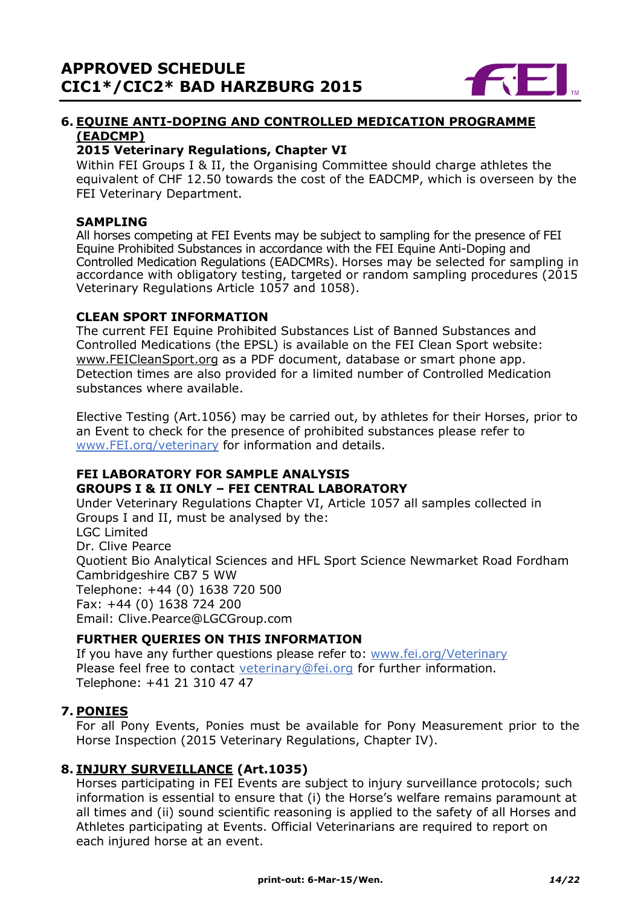

# **6. EQUINE ANTI-DOPING AND CONTROLLED MEDICATION PROGRAMME (EADCMP)**

# **2015 Veterinary Regulations, Chapter VI**

Within FEI Groups I & II, the Organising Committee should charge athletes the equivalent of CHF 12.50 towards the cost of the EADCMP, which is overseen by the FEI Veterinary Department.

### **SAMPLING**

All horses competing at FEI Events may be subject to sampling for the presence of FEI Equine Prohibited Substances in accordance with the FEI Equine Anti-Doping and Controlled Medication Regulations (EADCMRs). Horses may be selected for sampling in accordance with obligatory testing, targeted or random sampling procedures (2015 Veterinary Regulations Article 1057 and 1058).

## **CLEAN SPORT INFORMATION**

The current FEI Equine Prohibited Substances List of Banned Substances and Controlled Medications (the EPSL) is available on the FEI Clean Sport website: [www.FEICleanSport.org](http://www.feicleansport.org/) as a PDF document, database or smart phone app. Detection times are also provided for a limited number of Controlled Medication substances where available.

Elective Testing (Art.1056) may be carried out, by athletes for their Horses, prior to an Event to check for the presence of prohibited substances please refer to [www.FEI.org/veterinary](http://www.fei.org/veterinary) for information and details.

#### **FEI LABORATORY FOR SAMPLE ANALYSIS GROUPS I & II ONLY – FEI CENTRAL LABORATORY**

Under Veterinary Regulations Chapter VI, Article 1057 all samples collected in Groups I and II, must be analysed by the: LGC Limited Dr. Clive Pearce Quotient Bio Analytical Sciences and HFL Sport Science Newmarket Road Fordham Cambridgeshire CB7 5 WW Telephone: +44 (0) 1638 720 500 Fax: +44 (0) 1638 724 200 Email: Clive.Pearce@LGCGroup.com

# **FURTHER QUERIES ON THIS INFORMATION**

If you have any further questions please refer to: [www.fei.org/Veterinary](file:///C:/Users/mzo/AppData/Local/Microsoft/VEU/AppData/Local/Microsoft/Windows/Temporary%20Internet%20Files/Content.Outlook/1W63BF58/www.fei.org/Veterinary) Please feel free to contact veterinary@fei.org for further information. Telephone: +41 21 310 47 47

# **7. PONIES**

For all Pony Events, Ponies must be available for Pony Measurement prior to the Horse Inspection (2015 Veterinary Regulations, Chapter IV).

## **8. INJURY SURVEILLANCE (Art.1035)**

Horses participating in FEI Events are subject to injury surveillance protocols; such information is essential to ensure that (i) the Horse's welfare remains paramount at all times and (ii) sound scientific reasoning is applied to the safety of all Horses and Athletes participating at Events. Official Veterinarians are required to report on each injured horse at an event.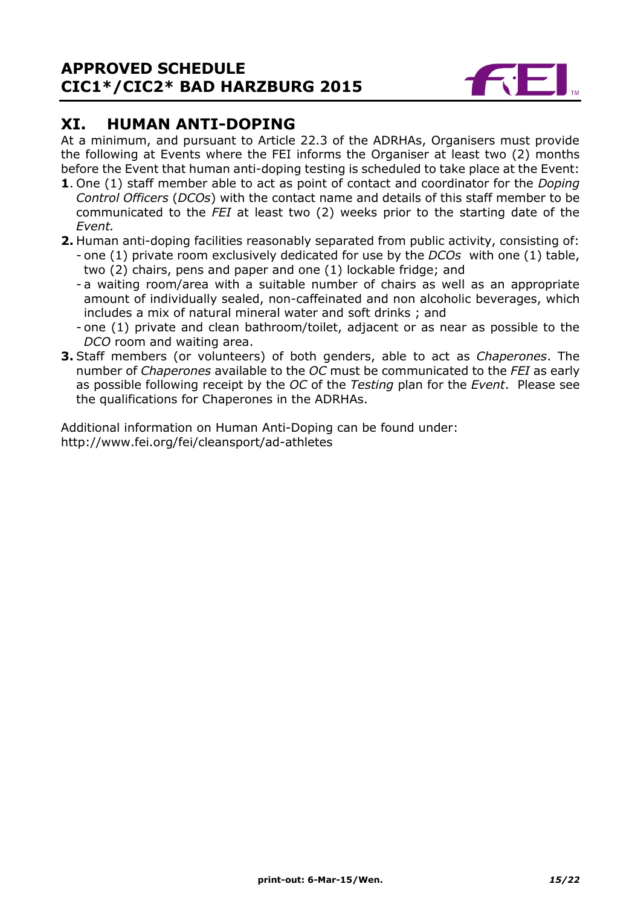

# **XI. HUMAN ANTI-DOPING**

At a minimum, and pursuant to Article 22.3 of the ADRHAs, Organisers must provide the following at Events where the FEI informs the Organiser at least two (2) months before the Event that human anti-doping testing is scheduled to take place at the Event:

- **1**. One (1) staff member able to act as point of contact and coordinator for the *Doping Control Officers* (*DCOs*) with the contact name and details of this staff member to be communicated to the *FEI* at least two (2) weeks prior to the starting date of the *Event.*
- **2.** Human anti-doping facilities reasonably separated from public activity, consisting of: - one (1) private room exclusively dedicated for use by the *DCOs* with one (1) table, two (2) chairs, pens and paper and one (1) lockable fridge; and
	- a waiting room/area with a suitable number of chairs as well as an appropriate amount of individually sealed, non-caffeinated and non alcoholic beverages, which includes a mix of natural mineral water and soft drinks ; and
	- one (1) private and clean bathroom/toilet, adjacent or as near as possible to the *DCO* room and waiting area.
- **3.** Staff members (or volunteers) of both genders, able to act as *Chaperones*. The number of *Chaperones* available to the *OC* must be communicated to the *FEI* as early as possible following receipt by the *OC* of the *Testing* plan for the *Event*. Please see the qualifications for Chaperones in the ADRHAs.

Additional information on Human Anti-Doping can be found under: http://www.fei.org/fei/cleansport/ad-athletes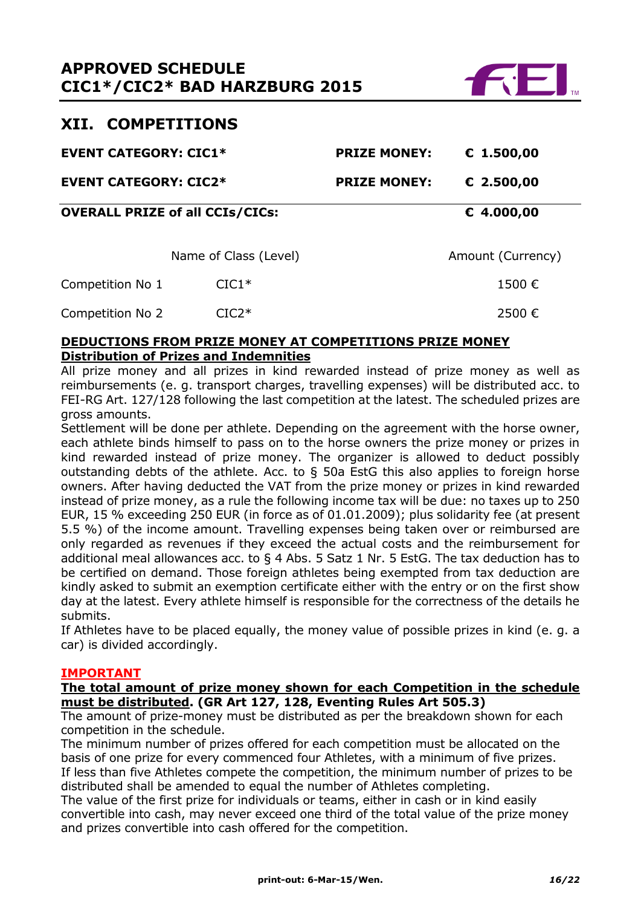

# **XII. COMPETITIONS**

| <b>EVENT CATEGORY: CIC1*</b> |                                        | <b>PRIZE MONEY:</b> | € 1.500,00        |  |
|------------------------------|----------------------------------------|---------------------|-------------------|--|
| <b>EVENT CATEGORY: CIC2*</b> |                                        | <b>PRIZE MONEY:</b> | € 2.500,00        |  |
|                              | <b>OVERALL PRIZE of all CCIs/CICs:</b> |                     | € 4.000,00        |  |
|                              | Name of Class (Level)                  |                     | Amount (Currency) |  |
| Competition No 1             | $CIC1*$                                |                     | 1500€             |  |
| Competition No 2             | $TC2*$                                 |                     | 2500€             |  |

#### **DEDUCTIONS FROM PRIZE MONEY AT COMPETITIONS PRIZE MONEY Distribution of Prizes and Indemnities**

All prize money and all prizes in kind rewarded instead of prize money as well as reimbursements (e. g. transport charges, travelling expenses) will be distributed acc. to FEI-RG Art. 127/128 following the last competition at the latest. The scheduled prizes are gross amounts.

Settlement will be done per athlete. Depending on the agreement with the horse owner, each athlete binds himself to pass on to the horse owners the prize money or prizes in kind rewarded instead of prize money. The organizer is allowed to deduct possibly outstanding debts of the athlete. Acc. to  $\S$  50a EstG this also applies to foreign horse owners. After having deducted the VAT from the prize money or prizes in kind rewarded instead of prize money, as a rule the following income tax will be due: no taxes up to 250 EUR, 15 % exceeding 250 EUR (in force as of 01.01.2009); plus solidarity fee (at present 5.5 %) of the income amount. Travelling expenses being taken over or reimbursed are only regarded as revenues if they exceed the actual costs and the reimbursement for additional meal allowances acc. to § 4 Abs. 5 Satz 1 Nr. 5 EstG. The tax deduction has to be certified on demand. Those foreign athletes being exempted from tax deduction are kindly asked to submit an exemption certificate either with the entry or on the first show day at the latest. Every athlete himself is responsible for the correctness of the details he submits.

If Athletes have to be placed equally, the money value of possible prizes in kind (e. g. a car) is divided accordingly.

## **IMPORTANT**

#### **The total amount of prize money shown for each Competition in the schedule must be distributed. (GR Art 127, 128, Eventing Rules Art 505.3)**

The amount of prize-money must be distributed as per the breakdown shown for each competition in the schedule.

The minimum number of prizes offered for each competition must be allocated on the basis of one prize for every commenced four Athletes, with a minimum of five prizes. If less than five Athletes compete the competition, the minimum number of prizes to be distributed shall be amended to equal the number of Athletes completing.

The value of the first prize for individuals or teams, either in cash or in kind easily convertible into cash, may never exceed one third of the total value of the prize money and prizes convertible into cash offered for the competition.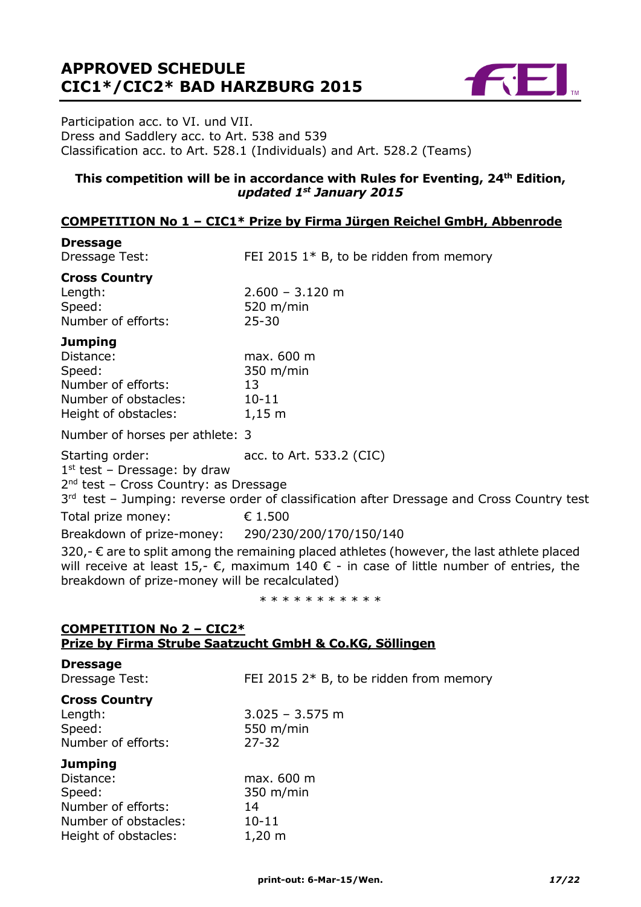

Participation acc. to VI. und VII. Dress and Saddlery acc. to Art. 538 and 539 Classification acc. to Art. 528.1 (Individuals) and Art. 528.2 (Teams)

# **This competition will be in accordance with Rules for Eventing, 24th Edition,**  *updated 1st January 2015*

## **COMPETITION No 1 – CIC1\* Prize by Firma Jürgen Reichel GmbH, Abbenrode**

| <b>Dressage</b><br>Dressage Test:                                                                           | FEI 2015 $1*$ B, to be ridden from memory                                                                                                                                                                        |
|-------------------------------------------------------------------------------------------------------------|------------------------------------------------------------------------------------------------------------------------------------------------------------------------------------------------------------------|
| <b>Cross Country</b><br>Length:<br>Speed:<br>Number of efforts:                                             | $2.600 - 3.120$ m<br>520 $m/min$<br>$25 - 30$                                                                                                                                                                    |
| <b>Jumping</b><br>Distance:<br>Speed:<br>Number of efforts:<br>Number of obstacles:<br>Height of obstacles: | max. 600 m<br>$350 \; \text{m/min}$<br>13<br>10-11<br>$1,15 \text{ m}$                                                                                                                                           |
| Number of horses per athlete: 3                                                                             |                                                                                                                                                                                                                  |
| Starting order:<br>$1st$ test - Dressage: by draw<br>$2nd$ test – Cross Country: as Dressage                | acc. to Art. 533.2 (CIC)<br>3rd test - Jumping: reverse order of classification after Dressage and Cross Country test                                                                                            |
| Total prize money:                                                                                          | € 1.500                                                                                                                                                                                                          |
| Breakdown of prize-money: 290/230/200/170/150/140                                                           |                                                                                                                                                                                                                  |
| breakdown of prize-money will be recalculated)                                                              | 320,- $\epsilon$ are to split among the remaining placed athletes (however, the last athlete placed<br>will receive at least 15,- $\epsilon$ , maximum 140 $\epsilon$ - in case of little number of entries, the |

\* \* \* \* \* \* \* \* \* \*

#### **COMPETITION No 2 – CIC2\* Prize by Firma Strube Saatzucht GmbH & Co.KG, Söllingen**

**Dressage**

| <b>Dressage</b><br>Dressage Test:                                                                           | FEI 2015 $2*$ B, to be ridden from memory                        |
|-------------------------------------------------------------------------------------------------------------|------------------------------------------------------------------|
| <b>Cross Country</b><br>Length:<br>Speed:<br>Number of efforts:                                             | $3.025 - 3.575$ m<br>550 $m/min$<br>$27 - 32$                    |
| <b>Jumping</b><br>Distance:<br>Speed:<br>Number of efforts:<br>Number of obstacles:<br>Height of obstacles: | max. 600 m<br>$350 \; \text{m/min}$<br>14<br>$10 - 11$<br>1,20 m |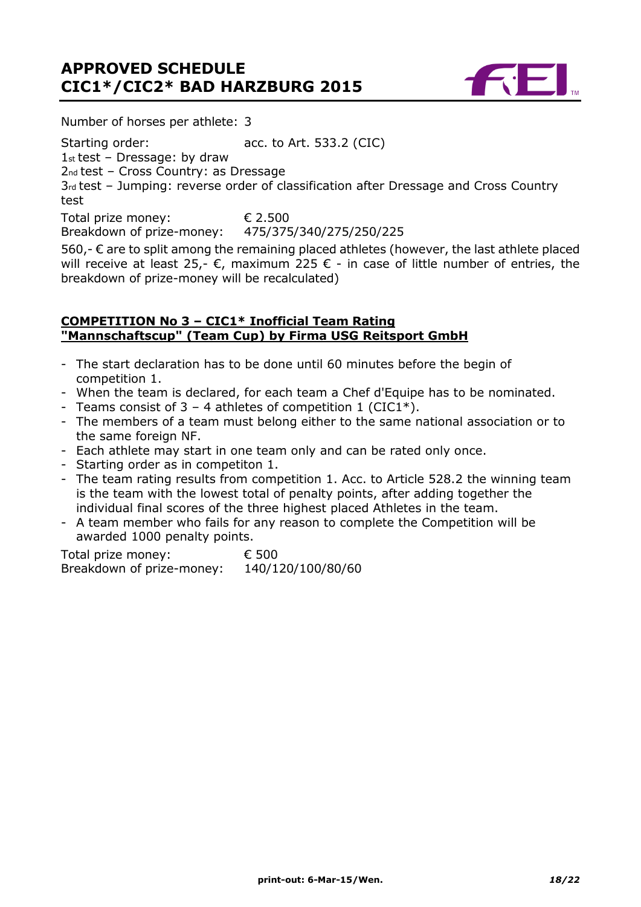

Number of horses per athlete: 3

Starting order: acc. to Art. 533.2 (CIC)

 $1st$  test - Dressage: by draw

2nd test – Cross Country: as Dressage

3rd test – Jumping: reverse order of classification after Dressage and Cross Country test

Total prize money: € 2.500<br>Breakdown of prize-money: 475/375/340/275/250/225 Breakdown of prize-money:

560,- € are to split among the remaining placed athletes (however, the last athlete placed will receive at least 25,-  $\epsilon$ , maximum 225  $\epsilon$  - in case of little number of entries, the breakdown of prize-money will be recalculated)

### **COMPETITION No 3 – CIC1\* Inofficial Team Rating "Mannschaftscup" (Team Cup) by Firma USG Reitsport GmbH**

- The start declaration has to be done until 60 minutes before the begin of competition 1.
- When the team is declared, for each team a Chef d'Equipe has to be nominated.
- Teams consist of  $3 4$  athletes of competition 1 (CIC1\*).
- The members of a team must belong either to the same national association or to the same foreign NF.
- Each athlete may start in one team only and can be rated only once.
- Starting order as in competiton 1.
- The team rating results from competition 1. Acc. to Article 528.2 the winning team is the team with the lowest total of penalty points, after adding together the individual final scores of the three highest placed Athletes in the team.
- A team member who fails for any reason to complete the Competition will be awarded 1000 penalty points.

Total prize money: € 500 Breakdown of prize-money: 140/120/100/80/60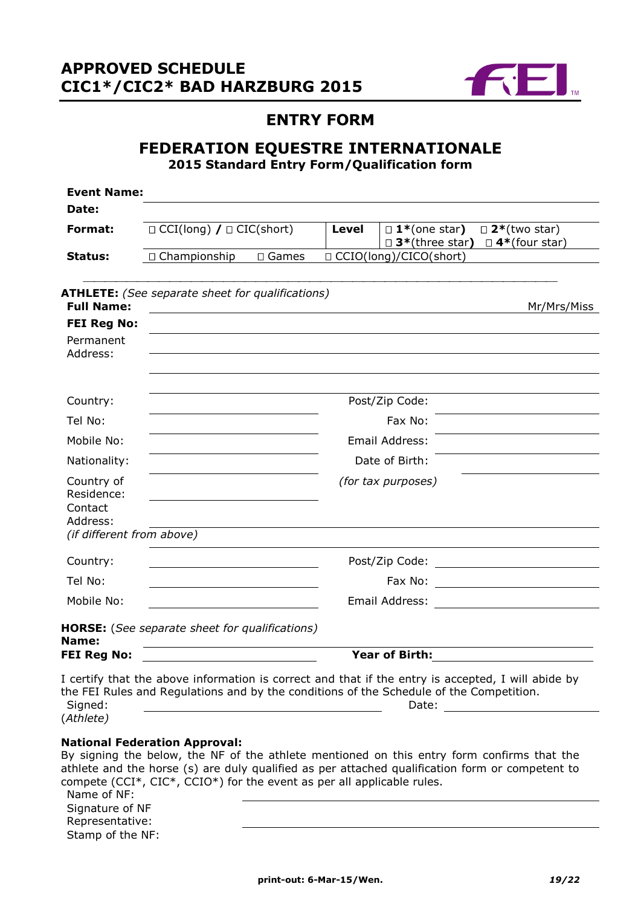

# **ENTRY FORM**

# **FEDERATION EQUESTRE INTERNATIONALE 2015 Standard Entry Form/Qualification form**

| <b>Event Name:</b>                                |                                                                                                                                                                                                                                                                                                                                |                 |              |                                                                                                                                                                                                                                |                                                |
|---------------------------------------------------|--------------------------------------------------------------------------------------------------------------------------------------------------------------------------------------------------------------------------------------------------------------------------------------------------------------------------------|-----------------|--------------|--------------------------------------------------------------------------------------------------------------------------------------------------------------------------------------------------------------------------------|------------------------------------------------|
| Date:                                             |                                                                                                                                                                                                                                                                                                                                |                 |              |                                                                                                                                                                                                                                |                                                |
| Format:                                           | $\Box$ CCI(long) / $\Box$ CIC(short)                                                                                                                                                                                                                                                                                           |                 | <b>Level</b> | $\Box$ 1*(one star)<br>$\square$ 3*(three star)                                                                                                                                                                                | $\square$ 2*(two star)<br>$\Box$ 4*(four star) |
| Status:                                           | □ Championship                                                                                                                                                                                                                                                                                                                 | $\square$ Games |              | □ CCIO(long)/CICO(short)                                                                                                                                                                                                       |                                                |
| <b>Full Name:</b>                                 | <b>ATHLETE:</b> (See separate sheet for qualifications)                                                                                                                                                                                                                                                                        |                 |              |                                                                                                                                                                                                                                | Mr/Mrs/Miss                                    |
| <b>FEI Reg No:</b>                                |                                                                                                                                                                                                                                                                                                                                |                 |              |                                                                                                                                                                                                                                |                                                |
| Permanent<br>Address:                             |                                                                                                                                                                                                                                                                                                                                |                 |              |                                                                                                                                                                                                                                |                                                |
| Country:                                          |                                                                                                                                                                                                                                                                                                                                |                 |              | Post/Zip Code:                                                                                                                                                                                                                 |                                                |
| Tel No:                                           |                                                                                                                                                                                                                                                                                                                                |                 |              | Fax No:                                                                                                                                                                                                                        |                                                |
| Mobile No:                                        |                                                                                                                                                                                                                                                                                                                                |                 |              | Email Address:                                                                                                                                                                                                                 |                                                |
| Nationality:                                      |                                                                                                                                                                                                                                                                                                                                |                 |              | Date of Birth:                                                                                                                                                                                                                 |                                                |
| Country of<br>Residence:<br>Contact<br>Address:   |                                                                                                                                                                                                                                                                                                                                |                 |              | (for tax purposes)                                                                                                                                                                                                             |                                                |
| (if different from above)                         |                                                                                                                                                                                                                                                                                                                                |                 |              |                                                                                                                                                                                                                                |                                                |
| Country:                                          |                                                                                                                                                                                                                                                                                                                                |                 |              |                                                                                                                                                                                                                                |                                                |
| Tel No:                                           |                                                                                                                                                                                                                                                                                                                                |                 |              |                                                                                                                                                                                                                                |                                                |
| Mobile No:                                        |                                                                                                                                                                                                                                                                                                                                |                 |              | Email Address: <u>________________________</u>                                                                                                                                                                                 |                                                |
| Name:                                             | <b>HORSE:</b> (See separate sheet for qualifications)                                                                                                                                                                                                                                                                          |                 |              |                                                                                                                                                                                                                                |                                                |
| <b>FEI Reg No:</b>                                |                                                                                                                                                                                                                                                                                                                                |                 |              | <b>Year of Birth:</b>                                                                                                                                                                                                          |                                                |
| Signed:<br>(Athlete)                              | I certify that the above information is correct and that if the entry is accepted, I will abide by<br>the FEI Rules and Regulations and by the conditions of the Schedule of the Competition.                                                                                                                                  |                 |              | Date: the contract of the contract of the contract of the contract of the contract of the contract of the contract of the contract of the contract of the contract of the contract of the contract of the contract of the cont |                                                |
| Name of NF:<br>Signature of NF<br>Representative: | <b>National Federation Approval:</b><br>By signing the below, the NF of the athlete mentioned on this entry form confirms that the<br>athlete and the horse (s) are duly qualified as per attached qualification form or competent to<br>compete (CCI $^*$ , CIC $^*$ , CCIO $^*$ ) for the event as per all applicable rules. |                 |              |                                                                                                                                                                                                                                |                                                |

Stamp of the NF: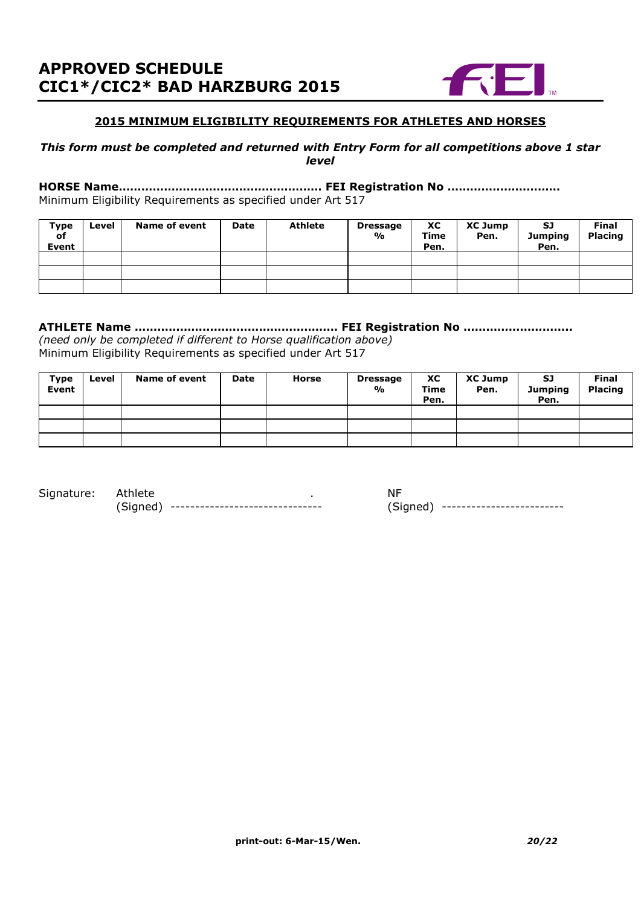

#### **2015 MINIMUM ELIGIBILITY REQUIREMENTS FOR ATHLETES AND HORSES**

#### *This form must be completed and returned with Entry Form for all competitions above 1 star level*

#### **HORSE Name……………………………………………… FEI Registration No …………………………** Minimum Eligibility Requirements as specified under Art 517

| Type<br>of<br>Event | Level | <b>Name of event</b> | Date | <b>Athlete</b> | <b>Dressage</b><br>% | ХC<br>Time<br>Pen. | <b>XC Jump</b><br>Pen. | <b>SJ</b><br><b>Jumping</b><br>Pen. | <b>Final</b><br><b>Placing</b> |
|---------------------|-------|----------------------|------|----------------|----------------------|--------------------|------------------------|-------------------------------------|--------------------------------|
|                     |       |                      |      |                |                      |                    |                        |                                     |                                |
|                     |       |                      |      |                |                      |                    |                        |                                     |                                |
|                     |       |                      |      |                |                      |                    |                        |                                     |                                |

## **ATHLETE Name ……………………………………………… FEI Registration No ………………………..**

*(need only be completed if different to Horse qualification above)* Minimum Eligibility Requirements as specified under Art 517

| <b>Type</b><br>Event | Level | <b>Name of event</b> | Date | Horse | <b>Dressage</b><br>% | XC<br>Time<br>Pen. | <b>XC Jump</b><br>Pen. | SJ<br><b>Jumping</b><br>Pen. | <b>Final</b><br><b>Placing</b> |
|----------------------|-------|----------------------|------|-------|----------------------|--------------------|------------------------|------------------------------|--------------------------------|
|                      |       |                      |      |       |                      |                    |                        |                              |                                |
|                      |       |                      |      |       |                      |                    |                        |                              |                                |
|                      |       |                      |      |       |                      |                    |                        |                              |                                |

Signature: Athlete . . . NF (Signed) ------------------------------- (Signed) -------------------------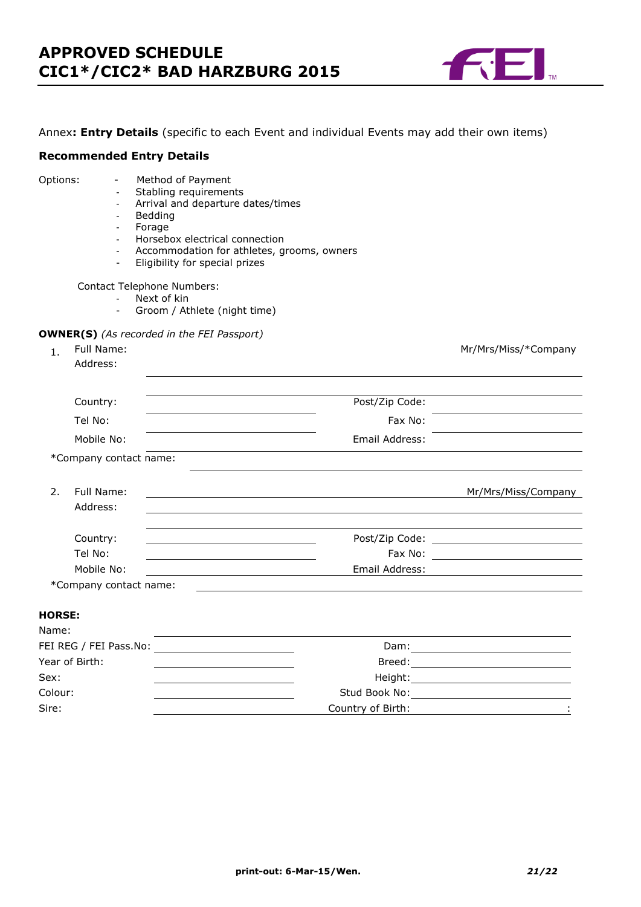

#### Annex**: Entry Details** (specific to each Event and individual Events may add their own items)

#### **Recommended Entry Details**

#### Options: - Method of Payment

- Stabling requirements
- Arrival and departure dates/times
- Bedding
- Forage
- Horsebox electrical connection
- Accommodation for athletes, grooms, owners
- Eligibility for special prizes

Contact Telephone Numbers:

- Next of kin
- Groom / Athlete (night time)

#### **OWNER(S)** *(As recorded in the FEI Passport)*

|    | Full Name:             |                | Mr/Mrs/Miss/*Company |
|----|------------------------|----------------|----------------------|
|    | Address:               |                |                      |
|    |                        |                |                      |
|    | Country:               | Post/Zip Code: |                      |
|    | Tel No:                | Fax No:        |                      |
|    | Mobile No:             | Email Address: |                      |
|    | *Company contact name: |                |                      |
|    |                        |                |                      |
| 2. | Full Name:             |                | Mr/Mrs/Miss/Company  |
|    | Address:               |                |                      |
|    |                        |                |                      |
|    | Country:               |                |                      |
|    | Tel No:                | Fax No:        |                      |
|    | Mobile No:             | Email Address: |                      |
|    | *Company contact name: |                |                      |

#### **HORSE:**

| Dam:                                                                                                                                                                                                                           |
|--------------------------------------------------------------------------------------------------------------------------------------------------------------------------------------------------------------------------------|
| Breed:                                                                                                                                                                                                                         |
| Height: the contract of the contract of the contract of the contract of the contract of the contract of the contract of the contract of the contract of the contract of the contract of the contract of the contract of the co |
| Stud Book No:                                                                                                                                                                                                                  |
| Country of Birth:                                                                                                                                                                                                              |
|                                                                                                                                                                                                                                |